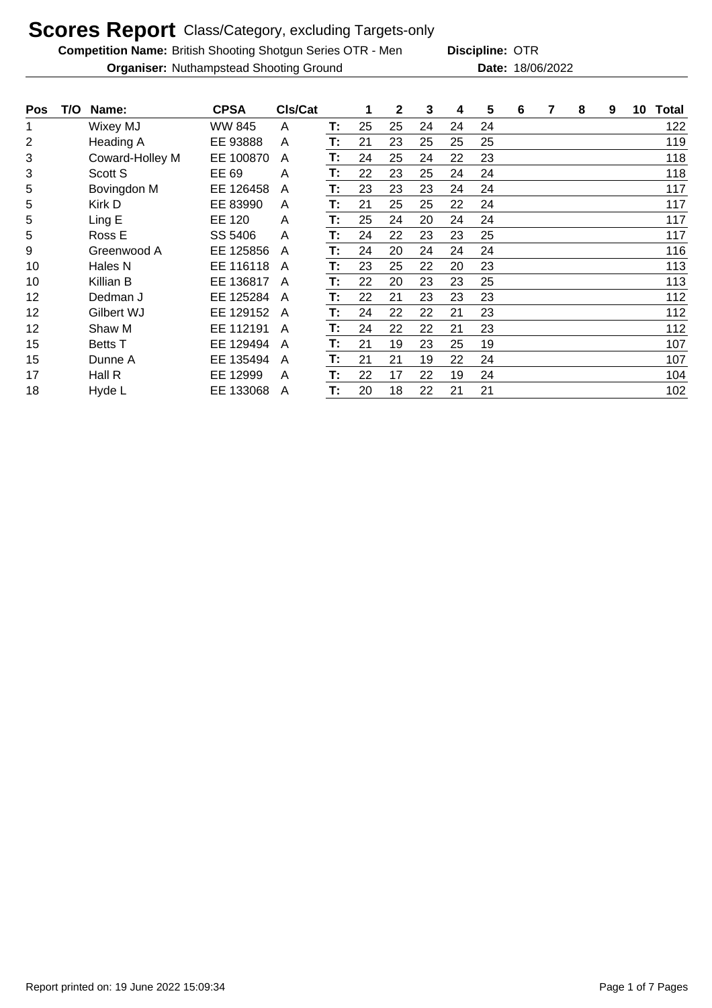**Competition Name:** British Shooting Shotgun Series OTR - Men **Discipline: OTR** 

**Discipline:**

**Organiser:** Nuthampstead Shooting Ground 18/06/2022 **Date:** 18/06/2022

| <b>Pos</b> | T/O | Name:           | <b>CPSA</b>   | CIs/Cat |    | 1  | 2  | 3  | 4  | 5  | 6 | 7 | 8 | 9 | 10 | Total |
|------------|-----|-----------------|---------------|---------|----|----|----|----|----|----|---|---|---|---|----|-------|
| 1          |     | Wixey MJ        | <b>WW 845</b> | A       | Т: | 25 | 25 | 24 | 24 | 24 |   |   |   |   |    | 122   |
| 2          |     | Heading A       | EE 93888      | A       | T: | 21 | 23 | 25 | 25 | 25 |   |   |   |   |    | 119   |
| 3          |     | Coward-Holley M | EE 100870     | A       | Т: | 24 | 25 | 24 | 22 | 23 |   |   |   |   |    | 118   |
| 3          |     | Scott S         | EE 69         | A       | T: | 22 | 23 | 25 | 24 | 24 |   |   |   |   |    | 118   |
| 5          |     | Bovingdon M     | EE 126458     | A       | T: | 23 | 23 | 23 | 24 | 24 |   |   |   |   |    | 117   |
| 5          |     | Kirk D          | EE 83990      | A       | T: | 21 | 25 | 25 | 22 | 24 |   |   |   |   |    | 117   |
| 5          |     | Ling E          | EE 120        | A       | Т. | 25 | 24 | 20 | 24 | 24 |   |   |   |   |    | 117   |
| 5          |     | Ross E          | SS 5406       | A       | T: | 24 | 22 | 23 | 23 | 25 |   |   |   |   |    | 117   |
| 9          |     | Greenwood A     | EE 125856     | A       | T: | 24 | 20 | 24 | 24 | 24 |   |   |   |   |    | 116   |
| 10         |     | Hales N         | EE 116118     | A       | Т: | 23 | 25 | 22 | 20 | 23 |   |   |   |   |    | 113   |
| 10         |     | Killian B       | EE 136817     | A       | T: | 22 | 20 | 23 | 23 | 25 |   |   |   |   |    | 113   |
| 12         |     | Dedman J        | EE 125284     | A       | T: | 22 | 21 | 23 | 23 | 23 |   |   |   |   |    | 112   |
| 12         |     | Gilbert WJ      | EE 129152     | A       | T: | 24 | 22 | 22 | 21 | 23 |   |   |   |   |    | 112   |
| 12         |     | Shaw M          | EE 112191     | A       | T: | 24 | 22 | 22 | 21 | 23 |   |   |   |   |    | 112   |
| 15         |     | <b>Betts</b> T  | EE 129494     | A       | T: | 21 | 19 | 23 | 25 | 19 |   |   |   |   |    | 107   |
| 15         |     | Dunne A         | EE 135494     | A       | T: | 21 | 21 | 19 | 22 | 24 |   |   |   |   |    | 107   |
| 17         |     | Hall R          | EE 12999      | A       | T: | 22 | 17 | 22 | 19 | 24 |   |   |   |   |    | 104   |
| 18         |     | Hyde L          | EE 133068     | A       | T: | 20 | 18 | 22 | 21 | 21 |   |   |   |   |    | 102   |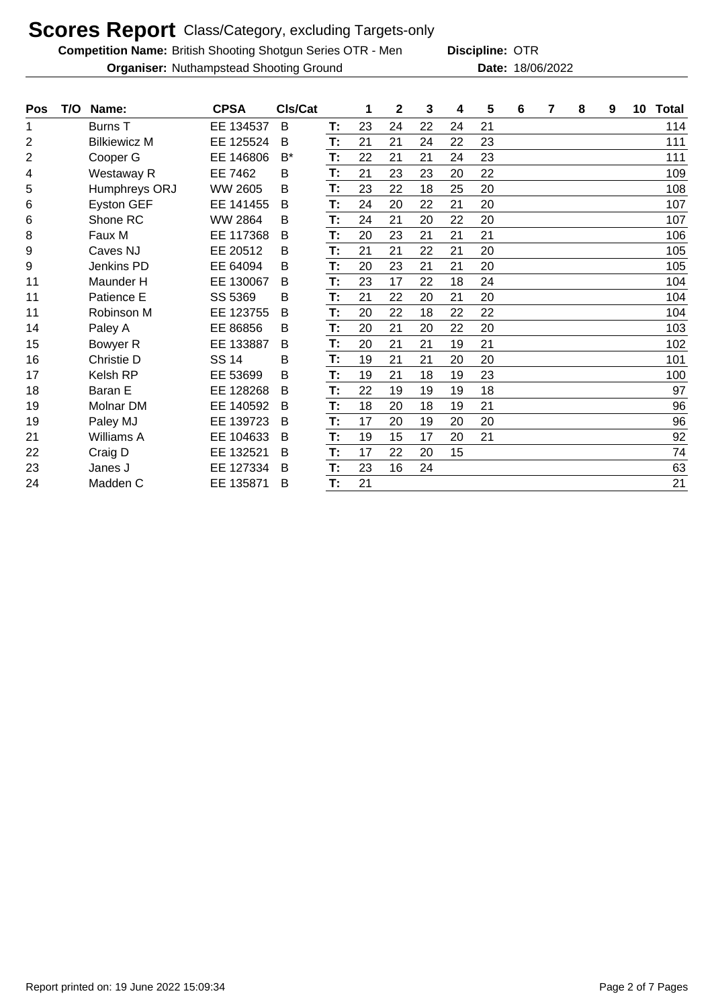**Competition Name:** British Shooting Shotgun Series OTR - Men **Discipline: OTR** 

**Organiser:** Nuthampstead Shooting Ground 18/06/2022 **Date:** 18/06/2022

**Discipline:**

| <b>Pos</b> | T/O | Name:               | <b>CPSA</b>    | CIs/Cat |    | 1  | $\mathbf 2$ | 3  | 4  | 5  | 6 | 7 | 8 | 9 | 10 | <b>Total</b> |
|------------|-----|---------------------|----------------|---------|----|----|-------------|----|----|----|---|---|---|---|----|--------------|
| 1          |     | <b>Burns T</b>      | EE 134537      | B       | T: | 23 | 24          | 22 | 24 | 21 |   |   |   |   |    | 114          |
| 2          |     | <b>Bilkiewicz M</b> | EE 125524      | B       | Т: | 21 | 21          | 24 | 22 | 23 |   |   |   |   |    | 111          |
| 2          |     | Cooper G            | EE 146806      | $B^*$   | Т: | 22 | 21          | 21 | 24 | 23 |   |   |   |   |    | 111          |
| 4          |     | Westaway R          | EE 7462        | B       | T: | 21 | 23          | 23 | 20 | 22 |   |   |   |   |    | 109          |
| 5          |     | Humphreys ORJ       | <b>WW 2605</b> | B       | T: | 23 | 22          | 18 | 25 | 20 |   |   |   |   |    | 108          |
| 6          |     | <b>Eyston GEF</b>   | EE 141455      | B       | T: | 24 | 20          | 22 | 21 | 20 |   |   |   |   |    | 107          |
| 6          |     | Shone RC            | <b>WW 2864</b> | B       | T: | 24 | 21          | 20 | 22 | 20 |   |   |   |   |    | 107          |
| 8          |     | Faux M              | EE 117368      | B       | T: | 20 | 23          | 21 | 21 | 21 |   |   |   |   |    | 106          |
| 9          |     | Caves NJ            | EE 20512       | B       | T: | 21 | 21          | 22 | 21 | 20 |   |   |   |   |    | 105          |
| 9          |     | Jenkins PD          | EE 64094       | B       | T: | 20 | 23          | 21 | 21 | 20 |   |   |   |   |    | 105          |
| 11         |     | Maunder H           | EE 130067      | B       | T: | 23 | 17          | 22 | 18 | 24 |   |   |   |   |    | 104          |
| 11         |     | Patience E          | SS 5369        | B       | T: | 21 | 22          | 20 | 21 | 20 |   |   |   |   |    | 104          |
| 11         |     | Robinson M          | EE 123755      | B       | T: | 20 | 22          | 18 | 22 | 22 |   |   |   |   |    | 104          |
| 14         |     | Paley A             | EE 86856       | B       | T: | 20 | 21          | 20 | 22 | 20 |   |   |   |   |    | 103          |
| 15         |     | Bowyer R            | EE 133887      | B       | T: | 20 | 21          | 21 | 19 | 21 |   |   |   |   |    | 102          |
| 16         |     | Christie D          | <b>SS 14</b>   | B       | T: | 19 | 21          | 21 | 20 | 20 |   |   |   |   |    | 101          |
| 17         |     | <b>Kelsh RP</b>     | EE 53699       | B       | T: | 19 | 21          | 18 | 19 | 23 |   |   |   |   |    | 100          |
| 18         |     | Baran E             | EE 128268      | B       | T. | 22 | 19          | 19 | 19 | 18 |   |   |   |   |    | 97           |
| 19         |     | Molnar DM           | EE 140592      | B       | T: | 18 | 20          | 18 | 19 | 21 |   |   |   |   |    | 96           |
| 19         |     | Paley MJ            | EE 139723      | B       | T: | 17 | 20          | 19 | 20 | 20 |   |   |   |   |    | 96           |
| 21         |     | Williams A          | EE 104633      | B       | T: | 19 | 15          | 17 | 20 | 21 |   |   |   |   |    | 92           |
| 22         |     | Craig D             | EE 132521      | B       | T: | 17 | 22          | 20 | 15 |    |   |   |   |   |    | 74           |
| 23         |     | Janes J             | EE 127334      | B       | T: | 23 | 16          | 24 |    |    |   |   |   |   |    | 63           |
| 24         |     | Madden C            | EE 135871      | В       | T: | 21 |             |    |    |    |   |   |   |   |    | 21           |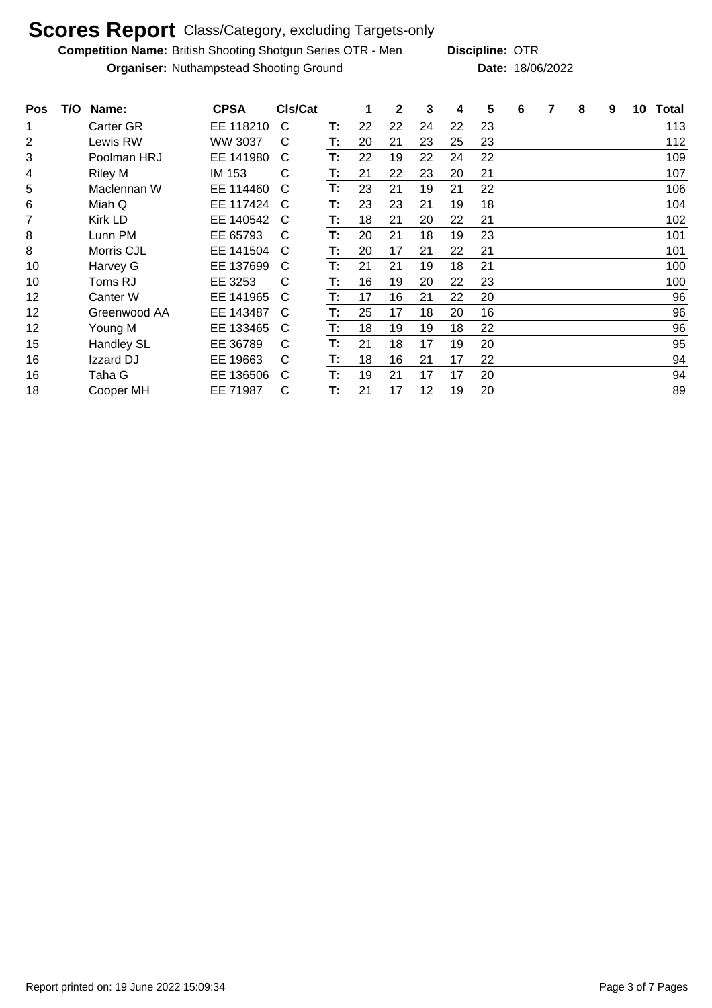**Competition Name:** British Shooting Shotgun Series OTR - Men **Discipline: OTR** 

**Organiser:** Nuthampstead Shooting Ground 18/06/2022 **Date:** 18/06/2022 **Discipline:**

| <b>Pos</b> | T/O | Name:             | <b>CPSA</b> | CIs/Cat |    | 1  | 2  | 3  | 4  | 5  | 6 | 7 | 8 | 9 | 10 | Total |
|------------|-----|-------------------|-------------|---------|----|----|----|----|----|----|---|---|---|---|----|-------|
| 1          |     | <b>Carter GR</b>  | EE 118210   | C       | Т: | 22 | 22 | 24 | 22 | 23 |   |   |   |   |    | 113   |
| 2          |     | Lewis RW          | WW 3037     | С       | T: | 20 | 21 | 23 | 25 | 23 |   |   |   |   |    | 112   |
| 3          |     | Poolman HRJ       | EE 141980   | С       | T: | 22 | 19 | 22 | 24 | 22 |   |   |   |   |    | 109   |
| 4          |     | <b>Riley M</b>    | IM 153      | С       | Т: | 21 | 22 | 23 | 20 | 21 |   |   |   |   |    | 107   |
| 5          |     | Maclennan W       | EE 114460   | C       | Т: | 23 | 21 | 19 | 21 | 22 |   |   |   |   |    | 106   |
| 6          |     | Miah Q            | EE 117424   | C       | T: | 23 | 23 | 21 | 19 | 18 |   |   |   |   |    | 104   |
| 7          |     | <b>Kirk LD</b>    | EE 140542   | C       | Т. | 18 | 21 | 20 | 22 | 21 |   |   |   |   |    | 102   |
| 8          |     | Lunn PM           | EE 65793    | C       | Т: | 20 | 21 | 18 | 19 | 23 |   |   |   |   |    | 101   |
| 8          |     | Morris CJL        | EE 141504   | С       | T: | 20 | 17 | 21 | 22 | 21 |   |   |   |   |    | 101   |
| 10         |     | Harvey G          | EE 137699   | C       | T: | 21 | 21 | 19 | 18 | 21 |   |   |   |   |    | 100   |
| 10         |     | Toms RJ           | EE 3253     | C       | Т. | 16 | 19 | 20 | 22 | 23 |   |   |   |   |    | 100   |
| 12         |     | Canter W          | EE 141965   | C       | Т: | 17 | 16 | 21 | 22 | 20 |   |   |   |   |    | 96    |
| 12         |     | Greenwood AA      | EE 143487   | C       | Т: | 25 | 17 | 18 | 20 | 16 |   |   |   |   |    | 96    |
| 12         |     | Young M           | EE 133465   | C       | T: | 18 | 19 | 19 | 18 | 22 |   |   |   |   |    | 96    |
| 15         |     | <b>Handley SL</b> | EE 36789    | C       | Т: | 21 | 18 | 17 | 19 | 20 |   |   |   |   |    | 95    |
| 16         |     | Izzard DJ         | EE 19663    | С       | Т: | 18 | 16 | 21 | 17 | 22 |   |   |   |   |    | 94    |
| 16         |     | Taha G            | EE 136506   | C       | T: | 19 | 21 | 17 | 17 | 20 |   |   |   |   |    | 94    |
| 18         |     | Cooper MH         | EE 71987    | С       | T: | 21 | 17 | 12 | 19 | 20 |   |   |   |   |    | 89    |

Report printed on: 19 June 2022 15:09:34 Page 3 of 7 Pages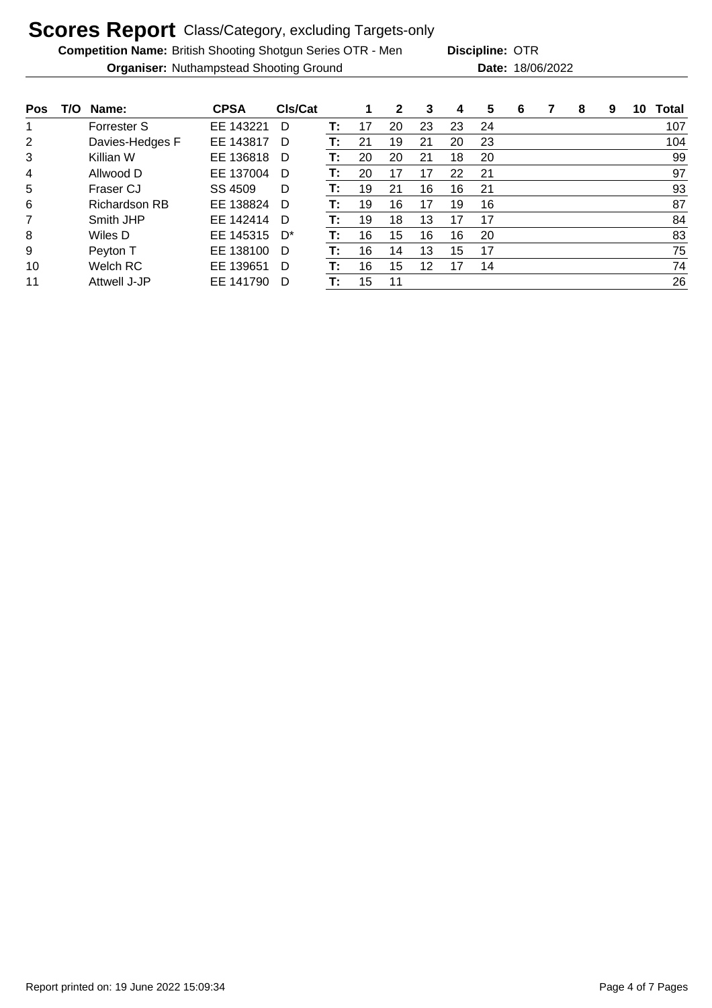**Competition Name:** British Shooting Shotgun Series OTR - Men **Discipline: OTR** 

**Organiser:** Nuthampstead Shooting Ground 18/06/2022 **Date:** 18/06/2022 **Discipline:**

**Pos T/O Name: CPSA Cls/Cat 1 2 3 4 5 6 7 8 9 10 Total** Forrester S EE 143221 D **T:** 17 20 23 23 24 107 Davies-Hedges F EE 143817 D **T:** 21 19 21 20 23 104 Killian W EE 136818 D **T:** 20 20 21 18 20 99 Allwood D EE 137004 D **T:** 20 17 17 22 21 97 Fraser CJ SS 4509 D **T:** 19 21 16 16 21 93 Richardson RB EE 138824 D **T:** 19 16 17 19 16 87 Smith JHP EE 142414 D **T:** 19 18 13 17 17 84 Wiles D EE 145315 D\* **T:** 16 15 16 16 20 83 Peyton T EE 138100 D **T:** 16 14 13 15 17 75 Welch RC EE 139651 D **T:** 16 15 12 17 14 74 Attwell J-JP EE 141790 D **T:** 15 11 26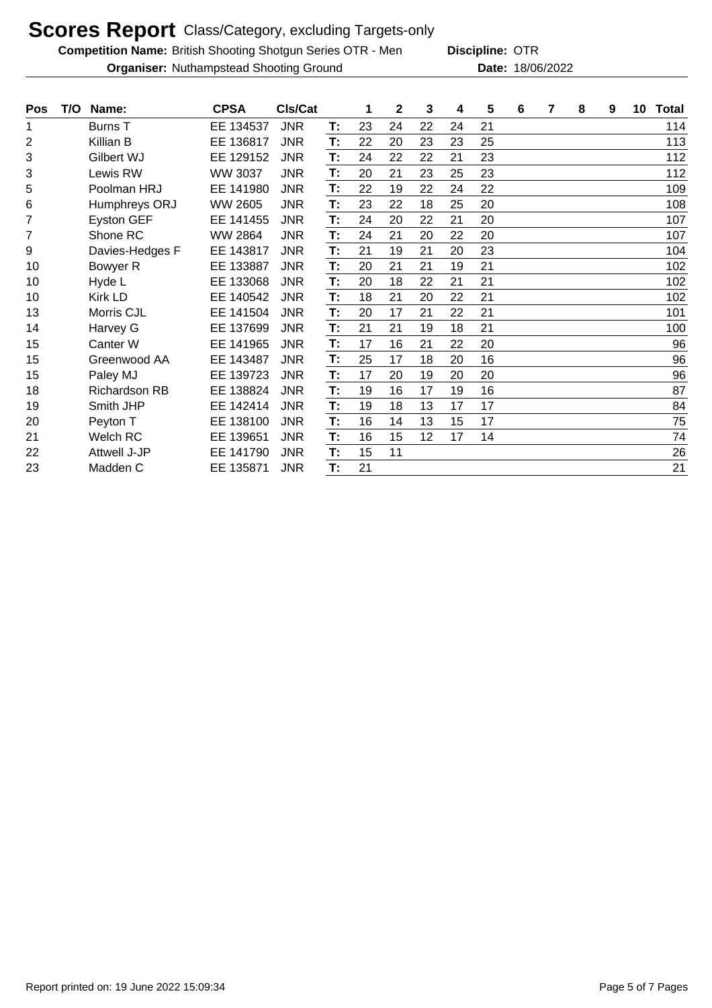**Competition Name:** British Shooting Shotgun Series OTR - Men **Discipline: OTR** 

**Discipline:**

**Organiser:** Nuthampstead Shooting Ground 18/06/2022 **Date:** 18/06/2022

| Pos            | T/O | Name:                | <b>CPSA</b>    | CIs/Cat    |    | 1  | $\mathbf{2}$ | 3  | 4  | 5  | 6 | 7 | 8 | 9 | 10 | <b>Total</b> |
|----------------|-----|----------------------|----------------|------------|----|----|--------------|----|----|----|---|---|---|---|----|--------------|
| 1              |     | Burns T              | EE 134537      | <b>JNR</b> | Т: | 23 | 24           | 22 | 24 | 21 |   |   |   |   |    | 114          |
| $\overline{2}$ |     | Killian B            | EE 136817      | <b>JNR</b> | T: | 22 | 20           | 23 | 23 | 25 |   |   |   |   |    | 113          |
| 3              |     | Gilbert WJ           | EE 129152      | <b>JNR</b> | Т: | 24 | 22           | 22 | 21 | 23 |   |   |   |   |    | 112          |
| 3              |     | Lewis RW             | <b>WW 3037</b> | <b>JNR</b> | T: | 20 | 21           | 23 | 25 | 23 |   |   |   |   |    | 112          |
| 5              |     | Poolman HRJ          | EE 141980      | <b>JNR</b> | Т: | 22 | 19           | 22 | 24 | 22 |   |   |   |   |    | 109          |
| 6              |     | Humphreys ORJ        | <b>WW 2605</b> | <b>JNR</b> | T: | 23 | 22           | 18 | 25 | 20 |   |   |   |   |    | 108          |
| 7              |     | Eyston GEF           | EE 141455      | <b>JNR</b> | T: | 24 | 20           | 22 | 21 | 20 |   |   |   |   |    | 107          |
| $\overline{7}$ |     | Shone RC             | <b>WW 2864</b> | <b>JNR</b> | T: | 24 | 21           | 20 | 22 | 20 |   |   |   |   |    | 107          |
| 9              |     | Davies-Hedges F      | EE 143817      | <b>JNR</b> | T: | 21 | 19           | 21 | 20 | 23 |   |   |   |   |    | 104          |
| 10             |     | Bowyer R             | EE 133887      | <b>JNR</b> | Т: | 20 | 21           | 21 | 19 | 21 |   |   |   |   |    | 102          |
| 10             |     | Hyde L               | EE 133068      | <b>JNR</b> | T: | 20 | 18           | 22 | 21 | 21 |   |   |   |   |    | 102          |
| 10             |     | Kirk LD              | EE 140542      | <b>JNR</b> | T: | 18 | 21           | 20 | 22 | 21 |   |   |   |   |    | 102          |
| 13             |     | Morris CJL           | EE 141504      | <b>JNR</b> | T: | 20 | 17           | 21 | 22 | 21 |   |   |   |   |    | 101          |
| 14             |     | Harvey G             | EE 137699      | <b>JNR</b> | T: | 21 | 21           | 19 | 18 | 21 |   |   |   |   |    | 100          |
| 15             |     | Canter W             | EE 141965      | <b>JNR</b> | T: | 17 | 16           | 21 | 22 | 20 |   |   |   |   |    | 96           |
| 15             |     | Greenwood AA         | EE 143487      | <b>JNR</b> | T: | 25 | 17           | 18 | 20 | 16 |   |   |   |   |    | 96           |
| 15             |     | Paley MJ             | EE 139723      | <b>JNR</b> | T: | 17 | 20           | 19 | 20 | 20 |   |   |   |   |    | 96           |
| 18             |     | <b>Richardson RB</b> | EE 138824      | <b>JNR</b> | T: | 19 | 16           | 17 | 19 | 16 |   |   |   |   |    | 87           |
| 19             |     | Smith JHP            | EE 142414      | <b>JNR</b> | T: | 19 | 18           | 13 | 17 | 17 |   |   |   |   |    | 84           |
| 20             |     | Peyton T             | EE 138100      | <b>JNR</b> | T: | 16 | 14           | 13 | 15 | 17 |   |   |   |   |    | 75           |
| 21             |     | Welch RC             | EE 139651      | <b>JNR</b> | T: | 16 | 15           | 12 | 17 | 14 |   |   |   |   |    | 74           |
| 22             |     | Attwell J-JP         | EE 141790      | <b>JNR</b> | Т: | 15 | 11           |    |    |    |   |   |   |   |    | 26           |
| 23             |     | Madden C             | EE 135871      | <b>JNR</b> | T: | 21 |              |    |    |    |   |   |   |   |    | 21           |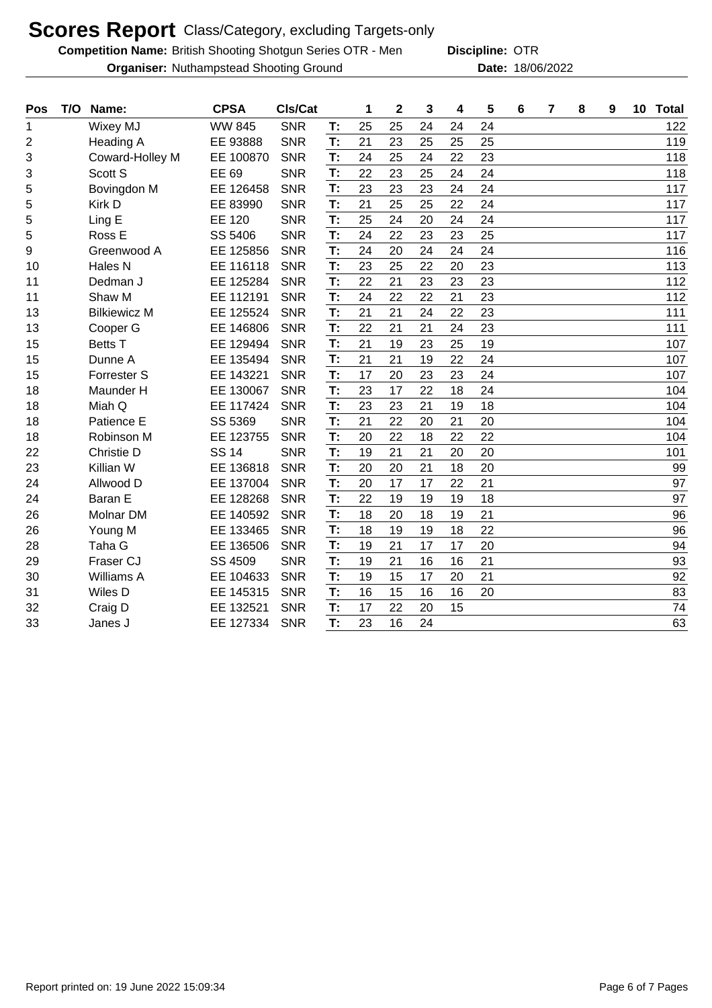**Competition Name:** British Shooting Shotgun Series OTR - Men **Discipline: OTR** 

**Organiser:** Nuthampstead Shooting Ground 18/06/2022 **Date:** 18/06/2022

**Discipline:**

| Pos | T/O | Name:               | <b>CPSA</b>   | CIs/Cat    |    | 1  | $\mathbf 2$ | 3  | 4  | 5  | $6\phantom{1}$ | 7 | 8 | 9 | 10 | <b>Total</b> |
|-----|-----|---------------------|---------------|------------|----|----|-------------|----|----|----|----------------|---|---|---|----|--------------|
| 1   |     | <b>Wixey MJ</b>     | <b>WW 845</b> | <b>SNR</b> | T: | 25 | 25          | 24 | 24 | 24 |                |   |   |   |    | 122          |
| 2   |     | Heading A           | EE 93888      | <b>SNR</b> | T: | 21 | 23          | 25 | 25 | 25 |                |   |   |   |    | 119          |
| 3   |     | Coward-Holley M     | EE 100870     | <b>SNR</b> | T: | 24 | 25          | 24 | 22 | 23 |                |   |   |   |    | 118          |
| 3   |     | Scott S             | EE 69         | <b>SNR</b> | T: | 22 | 23          | 25 | 24 | 24 |                |   |   |   |    | 118          |
| 5   |     | Bovingdon M         | EE 126458     | <b>SNR</b> | T: | 23 | 23          | 23 | 24 | 24 |                |   |   |   |    | 117          |
| 5   |     | Kirk D              | EE 83990      | <b>SNR</b> | T: | 21 | 25          | 25 | 22 | 24 |                |   |   |   |    | 117          |
| 5   |     | Ling E              | EE 120        | <b>SNR</b> | T: | 25 | 24          | 20 | 24 | 24 |                |   |   |   |    | 117          |
| 5   |     | Ross E              | SS 5406       | <b>SNR</b> | T: | 24 | 22          | 23 | 23 | 25 |                |   |   |   |    | 117          |
| 9   |     | Greenwood A         | EE 125856     | <b>SNR</b> | T: | 24 | 20          | 24 | 24 | 24 |                |   |   |   |    | 116          |
| 10  |     | Hales N             | EE 116118     | <b>SNR</b> | T: | 23 | 25          | 22 | 20 | 23 |                |   |   |   |    | 113          |
| 11  |     | Dedman J            | EE 125284     | <b>SNR</b> | T: | 22 | 21          | 23 | 23 | 23 |                |   |   |   |    | 112          |
| 11  |     | Shaw M              | EE 112191     | <b>SNR</b> | T: | 24 | 22          | 22 | 21 | 23 |                |   |   |   |    | 112          |
| 13  |     | <b>Bilkiewicz M</b> | EE 125524     | <b>SNR</b> | T: | 21 | 21          | 24 | 22 | 23 |                |   |   |   |    | 111          |
| 13  |     | Cooper G            | EE 146806     | <b>SNR</b> | T: | 22 | 21          | 21 | 24 | 23 |                |   |   |   |    | 111          |
| 15  |     | <b>Betts T</b>      | EE 129494     | <b>SNR</b> | T: | 21 | 19          | 23 | 25 | 19 |                |   |   |   |    | 107          |
| 15  |     | Dunne A             | EE 135494     | <b>SNR</b> | T: | 21 | 21          | 19 | 22 | 24 |                |   |   |   |    | 107          |
| 15  |     | <b>Forrester S</b>  | EE 143221     | <b>SNR</b> | T: | 17 | 20          | 23 | 23 | 24 |                |   |   |   |    | 107          |
| 18  |     | Maunder H           | EE 130067     | <b>SNR</b> | T: | 23 | 17          | 22 | 18 | 24 |                |   |   |   |    | 104          |
| 18  |     | Miah Q              | EE 117424     | <b>SNR</b> | T: | 23 | 23          | 21 | 19 | 18 |                |   |   |   |    | 104          |
| 18  |     | Patience E          | SS 5369       | <b>SNR</b> | T: | 21 | 22          | 20 | 21 | 20 |                |   |   |   |    | 104          |
| 18  |     | Robinson M          | EE 123755     | <b>SNR</b> | T: | 20 | 22          | 18 | 22 | 22 |                |   |   |   |    | 104          |
| 22  |     | Christie D          | <b>SS 14</b>  | <b>SNR</b> | T: | 19 | 21          | 21 | 20 | 20 |                |   |   |   |    | 101          |
| 23  |     | Killian W           | EE 136818     | <b>SNR</b> | T: | 20 | 20          | 21 | 18 | 20 |                |   |   |   |    | 99           |
| 24  |     | Allwood D           | EE 137004     | <b>SNR</b> | T: | 20 | 17          | 17 | 22 | 21 |                |   |   |   |    | 97           |
| 24  |     | Baran E             | EE 128268     | <b>SNR</b> | T: | 22 | 19          | 19 | 19 | 18 |                |   |   |   |    | 97           |
| 26  |     | Molnar DM           | EE 140592     | <b>SNR</b> | T: | 18 | 20          | 18 | 19 | 21 |                |   |   |   |    | 96           |
| 26  |     | Young M             | EE 133465     | <b>SNR</b> | T: | 18 | 19          | 19 | 18 | 22 |                |   |   |   |    | 96           |
| 28  |     | Taha G              | EE 136506     | <b>SNR</b> | T: | 19 | 21          | 17 | 17 | 20 |                |   |   |   |    | 94           |
| 29  |     | Fraser CJ           | SS 4509       | <b>SNR</b> | T: | 19 | 21          | 16 | 16 | 21 |                |   |   |   |    | 93           |
| 30  |     | Williams A          | EE 104633     | <b>SNR</b> | T: | 19 | 15          | 17 | 20 | 21 |                |   |   |   |    | 92           |
| 31  |     | Wiles D             | EE 145315     | <b>SNR</b> | T: | 16 | 15          | 16 | 16 | 20 |                |   |   |   |    | 83           |
| 32  |     | Craig D             | EE 132521     | <b>SNR</b> | T: | 17 | 22          | 20 | 15 |    |                |   |   |   |    | 74           |
| 33  |     | Janes J             | EE 127334     | <b>SNR</b> | T: | 23 | 16          | 24 |    |    |                |   |   |   |    | 63           |